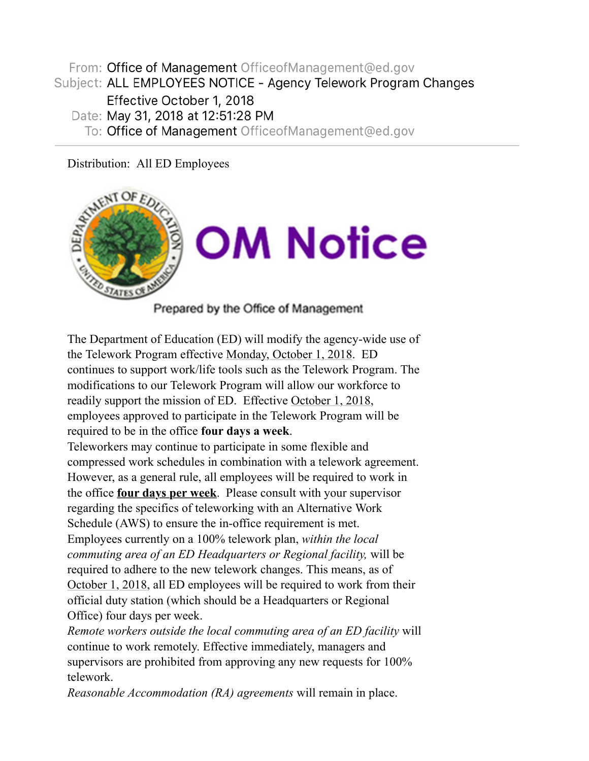From: Office of Management OfficeofManagement@ed.gov Subject: ALL EMPLOYEES NOTICE - Agency Telework Program Changes Effective October 1, 2018 Date: May 31, 2018 at 12:51:28 PM To: Office of Management OfficeofManagement@ed.gov

Distribution: All ED Employees



Prepared by the Office of Management

The Department of Education (ED) will modify the agency-wide use of the Telework Program effective Monday, October 1, 2018. ED continues to support work/life tools such as the Telework Program. The modifications to our Telework Program will allow our workforce to readily support the mission of ED. Effective October 1, 2018, employees approved to participate in the Telework Program will be required to be in the office **four days a week**.

Teleworkers may continue to participate in some flexible and compressed work schedules in combination with a telework agreement. However, as a general rule, all employees will be required to work in the office **four days per week**. Please consult with your supervisor regarding the specifics of teleworking with an Alternative Work Schedule (AWS) to ensure the in-office requirement is met. Employees currently on a 100% telework plan, *within the local commuting area of an ED Headquarters or Regional facility,* will be required to adhere to the new telework changes. This means, as of October 1, 2018, all ED employees will be required to work from their official duty station (which should be a Headquarters or Regional Office) four days per week.

*Remote workers outside the local commuting area of an ED facility* will continue to work remotely. Effective immediately, managers and supervisors are prohibited from approving any new requests for 100% telework.

*Reasonable Accommodation (RA) agreements* will remain in place.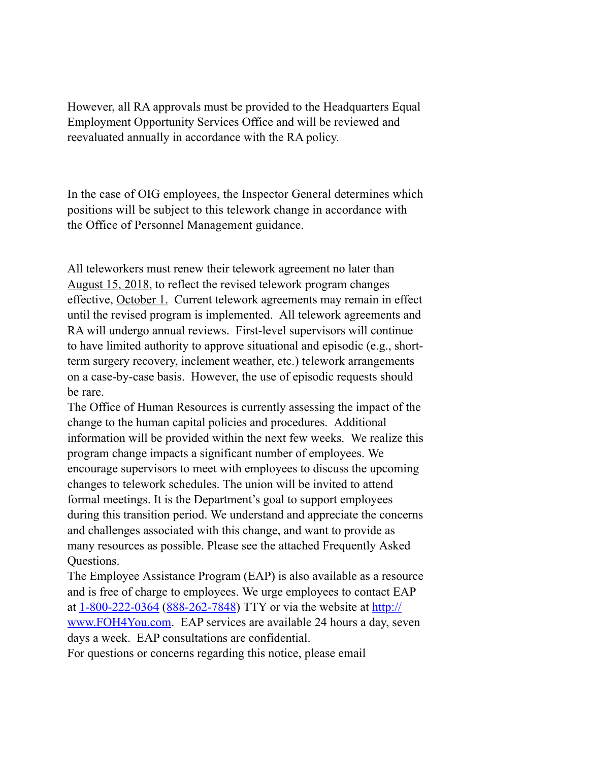However, all RA approvals must be provided to the Headquarters Equal Employment Opportunity Services Office and will be reviewed and reevaluated annually in accordance with the RA policy.

In the case of OIG employees, the Inspector General determines which positions will be subject to this telework change in accordance with the Office of Personnel Management guidance.

All teleworkers must renew their telework agreement no later than August 15, 2018, to reflect the revised telework program changes effective, October 1. Current telework agreements may remain in effect until the revised program is implemented. All telework agreements and RA will undergo annual reviews. First-level supervisors will continue to have limited authority to approve situational and episodic (e.g., shortterm surgery recovery, inclement weather, etc.) telework arrangements on a case-by-case basis. However, the use of episodic requests should be rare.

The Office of Human Resources is currently assessing the impact of the change to the human capital policies and procedures. Additional information will be provided within the next few weeks. We realize this program change impacts a significant number of employees. We encourage supervisors to meet with employees to discuss the upcoming changes to telework schedules. The union will be invited to attend formal meetings. It is the Department's goal to support employees during this transition period. We understand and appreciate the concerns and challenges associated with this change, and want to provide as many resources as possible. Please see the attached Frequently Asked Questions.

The Employee Assistance Program (EAP) is also available as a resource and is free of charge to employees. We urge employees to contact EAP at 1-800-222-0364 (888-262-7848) TTY or via the website at http:// www.FOH4You.com. EAP services are available 24 hours a day, seven days a week. EAP consultations are confidential.

For questions or concerns regarding this notice, please email